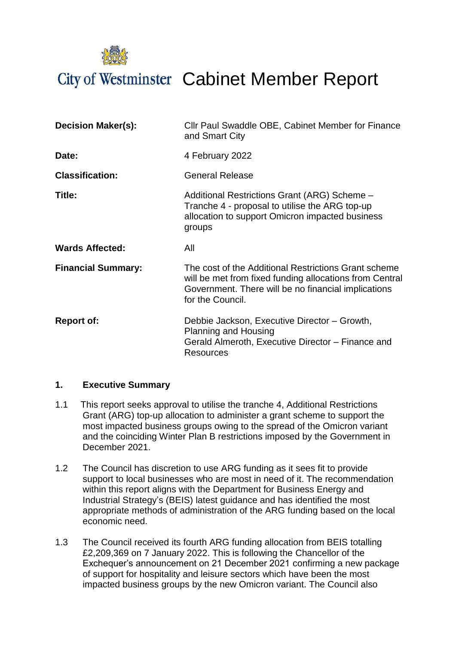City of Westminster Cabinet Member Report

| <b>Decision Maker(s):</b> | Cllr Paul Swaddle OBE, Cabinet Member for Finance<br>and Smart City                                                                                                                        |
|---------------------------|--------------------------------------------------------------------------------------------------------------------------------------------------------------------------------------------|
| Date:                     | 4 February 2022                                                                                                                                                                            |
| <b>Classification:</b>    | <b>General Release</b>                                                                                                                                                                     |
| Title:                    | Additional Restrictions Grant (ARG) Scheme -<br>Tranche 4 - proposal to utilise the ARG top-up<br>allocation to support Omicron impacted business<br>groups                                |
| <b>Wards Affected:</b>    | All                                                                                                                                                                                        |
| <b>Financial Summary:</b> | The cost of the Additional Restrictions Grant scheme<br>will be met from fixed funding allocations from Central<br>Government. There will be no financial implications<br>for the Council. |
| <b>Report of:</b>         | Debbie Jackson, Executive Director - Growth,<br>Planning and Housing<br>Gerald Almeroth, Executive Director – Finance and<br><b>Resources</b>                                              |

#### **1. Executive Summary**

- 1.1 This report seeks approval to utilise the tranche 4, Additional Restrictions Grant (ARG) top-up allocation to administer a grant scheme to support the most impacted business groups owing to the spread of the Omicron variant and the coinciding Winter Plan B restrictions imposed by the Government in December 2021.
- 1.2 The Council has discretion to use ARG funding as it sees fit to provide support to local businesses who are most in need of it. The recommendation within this report aligns with the Department for Business Energy and Industrial Strategy's (BEIS) latest guidance and has identified the most appropriate methods of administration of the ARG funding based on the local economic need.
- 1.3 The Council received its fourth ARG funding allocation from BEIS totalling £2,209,369 on 7 January 2022. This is following the Chancellor of the Exchequer's announcement on 21 December 2021 confirming a new package of support for hospitality and leisure sectors which have been the most impacted business groups by the new Omicron variant. The Council also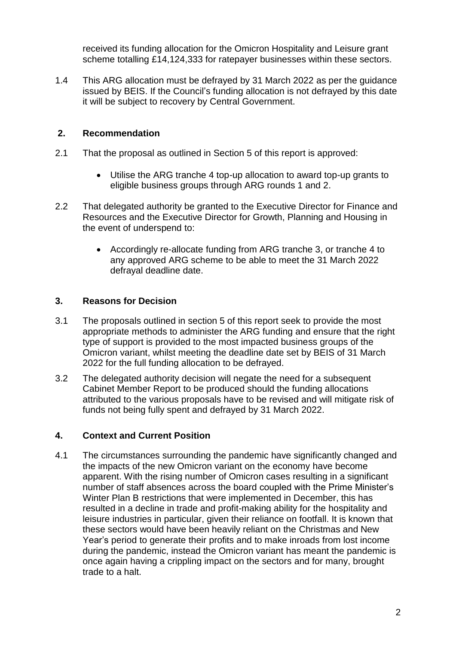received its funding allocation for the Omicron Hospitality and Leisure grant scheme totalling £14,124,333 for ratepayer businesses within these sectors.

1.4 This ARG allocation must be defrayed by 31 March 2022 as per the guidance issued by BEIS. If the Council's funding allocation is not defrayed by this date it will be subject to recovery by Central Government.

## **2. Recommendation**

- 2.1 That the proposal as outlined in Section 5 of this report is approved:
	- Utilise the ARG tranche 4 top-up allocation to award top-up grants to eligible business groups through ARG rounds 1 and 2.
- 2.2 That delegated authority be granted to the Executive Director for Finance and Resources and the Executive Director for Growth, Planning and Housing in the event of underspend to:
	- Accordingly re-allocate funding from ARG tranche 3, or tranche 4 to any approved ARG scheme to be able to meet the 31 March 2022 defrayal deadline date.

## **3. Reasons for Decision**

- 3.1 The proposals outlined in section 5 of this report seek to provide the most appropriate methods to administer the ARG funding and ensure that the right type of support is provided to the most impacted business groups of the Omicron variant, whilst meeting the deadline date set by BEIS of 31 March 2022 for the full funding allocation to be defrayed.
- 3.2 The delegated authority decision will negate the need for a subsequent Cabinet Member Report to be produced should the funding allocations attributed to the various proposals have to be revised and will mitigate risk of funds not being fully spent and defrayed by 31 March 2022.

## **4. Context and Current Position**

4.1 The circumstances surrounding the pandemic have significantly changed and the impacts of the new Omicron variant on the economy have become apparent. With the rising number of Omicron cases resulting in a significant number of staff absences across the board coupled with the Prime Minister's Winter Plan B restrictions that were implemented in December, this has resulted in a decline in trade and profit-making ability for the hospitality and leisure industries in particular, given their reliance on footfall. It is known that these sectors would have been heavily reliant on the Christmas and New Year's period to generate their profits and to make inroads from lost income during the pandemic, instead the Omicron variant has meant the pandemic is once again having a crippling impact on the sectors and for many, brought trade to a halt.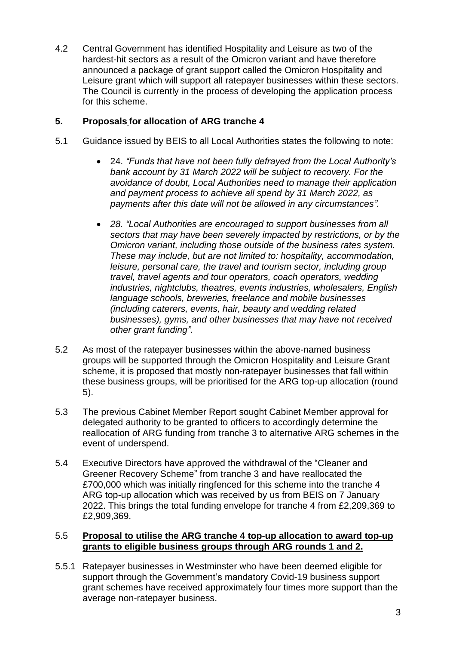4.2 Central Government has identified Hospitality and Leisure as two of the hardest-hit sectors as a result of the Omicron variant and have therefore announced a package of grant support called the Omicron Hospitality and Leisure grant which will support all ratepayer businesses within these sectors. The Council is currently in the process of developing the application process for this scheme.

## **5. Proposals for allocation of ARG tranche 4**

- 5.1 Guidance issued by BEIS to all Local Authorities states the following to note:
	- 24. *"Funds that have not been fully defrayed from the Local Authority's bank account by 31 March 2022 will be subject to recovery. For the avoidance of doubt, Local Authorities need to manage their application and payment process to achieve all spend by 31 March 2022, as payments after this date will not be allowed in any circumstances".*
	- *28. "Local Authorities are encouraged to support businesses from all sectors that may have been severely impacted by restrictions, or by the Omicron variant, including those outside of the business rates system. These may include, but are not limited to: hospitality, accommodation, leisure, personal care, the travel and tourism sector, including group travel, travel agents and tour operators, coach operators, wedding industries, nightclubs, theatres, events industries, wholesalers, English language schools, breweries, freelance and mobile businesses (including caterers, events, hair, beauty and wedding related businesses), gyms, and other businesses that may have not received other grant funding".*
- 5.2 As most of the ratepayer businesses within the above-named business groups will be supported through the Omicron Hospitality and Leisure Grant scheme, it is proposed that mostly non-ratepayer businesses that fall within these business groups, will be prioritised for the ARG top-up allocation (round 5).
- 5.3 The previous Cabinet Member Report sought Cabinet Member approval for delegated authority to be granted to officers to accordingly determine the reallocation of ARG funding from tranche 3 to alternative ARG schemes in the event of underspend.
- 5.4 Executive Directors have approved the withdrawal of the "Cleaner and Greener Recovery Scheme" from tranche 3 and have reallocated the £700,000 which was initially ringfenced for this scheme into the tranche 4 ARG top-up allocation which was received by us from BEIS on 7 January 2022. This brings the total funding envelope for tranche 4 from £2,209,369 to £2,909,369.

#### 5.5 **Proposal to utilise the ARG tranche 4 top-up allocation to award top-up grants to eligible business groups through ARG rounds 1 and 2.**

5.5.1 Ratepayer businesses in Westminster who have been deemed eligible for support through the Government's mandatory Covid-19 business support grant schemes have received approximately four times more support than the average non-ratepayer business.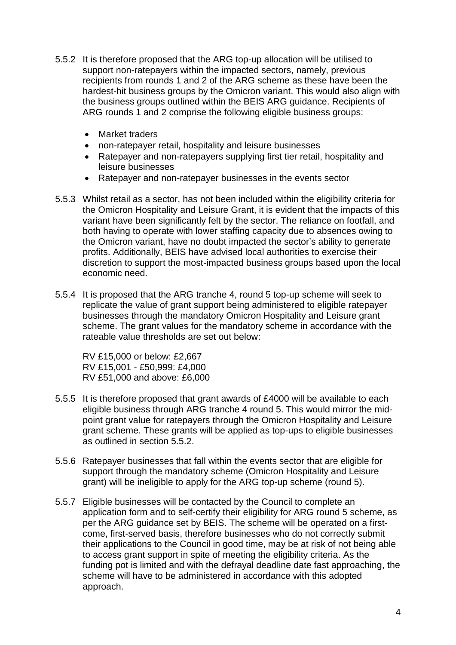- 5.5.2 It is therefore proposed that the ARG top-up allocation will be utilised to support non-ratepayers within the impacted sectors, namely, previous recipients from rounds 1 and 2 of the ARG scheme as these have been the hardest-hit business groups by the Omicron variant. This would also align with the business groups outlined within the BEIS ARG guidance. Recipients of ARG rounds 1 and 2 comprise the following eligible business groups:
	- Market traders
	- non-ratepayer retail, hospitality and leisure businesses
	- Ratepayer and non-ratepayers supplying first tier retail, hospitality and leisure businesses
	- Ratepayer and non-ratepayer businesses in the events sector
- 5.5.3 Whilst retail as a sector, has not been included within the eligibility criteria for the Omicron Hospitality and Leisure Grant, it is evident that the impacts of this variant have been significantly felt by the sector. The reliance on footfall, and both having to operate with lower staffing capacity due to absences owing to the Omicron variant, have no doubt impacted the sector's ability to generate profits. Additionally, BEIS have advised local authorities to exercise their discretion to support the most-impacted business groups based upon the local economic need.
- 5.5.4 It is proposed that the ARG tranche 4, round 5 top-up scheme will seek to replicate the value of grant support being administered to eligible ratepayer businesses through the mandatory Omicron Hospitality and Leisure grant scheme. The grant values for the mandatory scheme in accordance with the rateable value thresholds are set out below:

RV £15,000 or below: £2,667 RV £15,001 - £50,999: £4,000 RV £51,000 and above: £6,000

- 5.5.5 It is therefore proposed that grant awards of £4000 will be available to each eligible business through ARG tranche 4 round 5. This would mirror the midpoint grant value for ratepayers through the Omicron Hospitality and Leisure grant scheme. These grants will be applied as top-ups to eligible businesses as outlined in section 5.5.2.
- 5.5.6 Ratepayer businesses that fall within the events sector that are eligible for support through the mandatory scheme (Omicron Hospitality and Leisure grant) will be ineligible to apply for the ARG top-up scheme (round 5).
- 5.5.7 Eligible businesses will be contacted by the Council to complete an application form and to self-certify their eligibility for ARG round 5 scheme, as per the ARG guidance set by BEIS. The scheme will be operated on a firstcome, first-served basis, therefore businesses who do not correctly submit their applications to the Council in good time, may be at risk of not being able to access grant support in spite of meeting the eligibility criteria. As the funding pot is limited and with the defrayal deadline date fast approaching, the scheme will have to be administered in accordance with this adopted approach.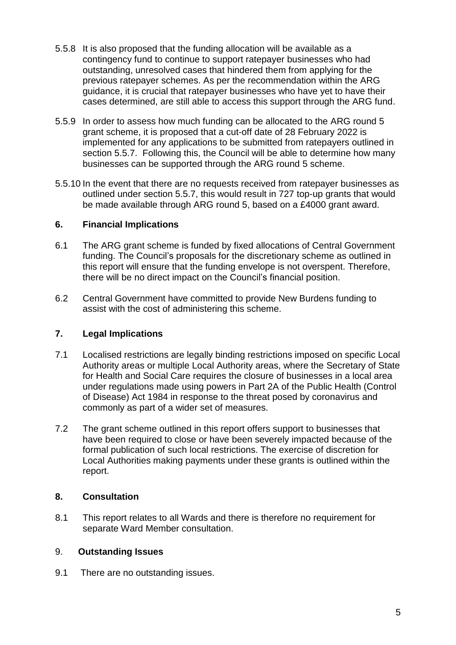- 5.5.8 It is also proposed that the funding allocation will be available as a contingency fund to continue to support ratepayer businesses who had outstanding, unresolved cases that hindered them from applying for the previous ratepayer schemes. As per the recommendation within the ARG guidance, it is crucial that ratepayer businesses who have yet to have their cases determined, are still able to access this support through the ARG fund.
- 5.5.9 In order to assess how much funding can be allocated to the ARG round 5 grant scheme, it is proposed that a cut-off date of 28 February 2022 is implemented for any applications to be submitted from ratepayers outlined in section 5.5.7. Following this, the Council will be able to determine how many businesses can be supported through the ARG round 5 scheme.
- 5.5.10 In the event that there are no requests received from ratepayer businesses as outlined under section 5.5.7, this would result in 727 top-up grants that would be made available through ARG round 5, based on a £4000 grant award.

## **6. Financial Implications**

- 6.1 The ARG grant scheme is funded by fixed allocations of Central Government funding. The Council's proposals for the discretionary scheme as outlined in this report will ensure that the funding envelope is not overspent. Therefore, there will be no direct impact on the Council's financial position.
- 6.2 Central Government have committed to provide New Burdens funding to assist with the cost of administering this scheme.

# **7. Legal Implications**

- 7.1 Localised restrictions are legally binding restrictions imposed on specific Local Authority areas or multiple Local Authority areas, where the Secretary of State for Health and Social Care requires the closure of businesses in a local area under regulations made using powers in Part 2A of the Public Health (Control of Disease) Act 1984 in response to the threat posed by coronavirus and commonly as part of a wider set of measures.
- 7.2 The grant scheme outlined in this report offers support to businesses that have been required to close or have been severely impacted because of the formal publication of such local restrictions. The exercise of discretion for Local Authorities making payments under these grants is outlined within the report.

## **8. Consultation**

8.1 This report relates to all Wards and there is therefore no requirement for separate Ward Member consultation.

## 9. **Outstanding Issues**

9.1 There are no outstanding issues.